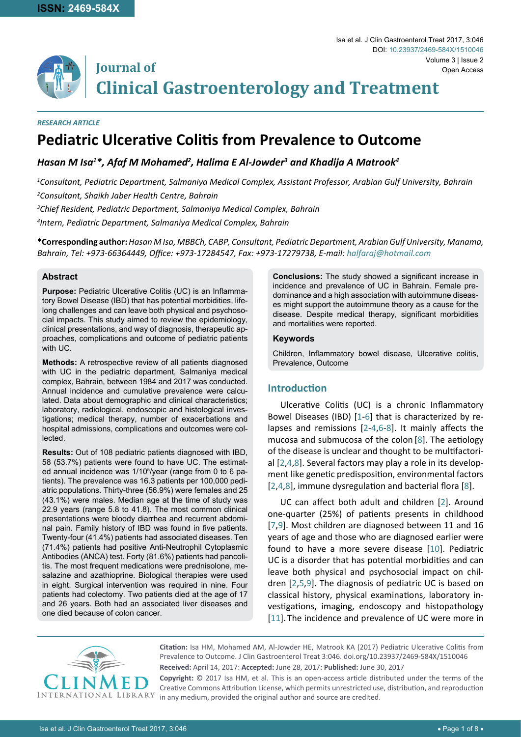

**Journal of Clinical Gastroenterology and Treatment**

#### *RESEARCH ARTICLE*

# **Pediatric Ulcerative Colitis from Prevalence to Outcome**

# *Hasan M Isa1 \*, Afaf M Mohamed2 , Halima E Al-Jowder3 and Khadija A Matrook4*

*1 Consultant, Pediatric Department, Salmaniya Medical Complex, Assistant Professor, Arabian Gulf University, Bahrain 2 Consultant, Shaikh Jaber Health Centre, Bahrain*

*3 Chief Resident, Pediatric Department, Salmaniya Medical Complex, Bahrain*

*4 Intern, Pediatric Department, Salmaniya Medical Complex, Bahrain*

**\*Corresponding author:** *Hasan M Isa, MBBCh, CABP, Consultant, Pediatric Department, Arabian Gulf University, Manama, Bahrain, Tel: +973-66364449, Office: +973-17284547, Fax: +973-17279738, E-mail: halfaraj@hotmail.com*

# **Abstract**

**Purpose:** Pediatric Ulcerative Colitis (UC) is an Inflammatory Bowel Disease (IBD) that has potential morbidities, lifelong challenges and can leave both physical and psychosocial impacts. This study aimed to review the epidemiology, clinical presentations, and way of diagnosis, therapeutic approaches, complications and outcome of pediatric patients with UC.

**Methods:** A retrospective review of all patients diagnosed with UC in the pediatric department, Salmaniya medical complex, Bahrain, between 1984 and 2017 was conducted. Annual incidence and cumulative prevalence were calculated. Data about demographic and clinical characteristics; laboratory, radiological, endoscopic and histological investigations; medical therapy, number of exacerbations and hospital admissions, complications and outcomes were collected.

**Results:** Out of 108 pediatric patients diagnosed with IBD, 58 (53.7%) patients were found to have UC. The estimated annual incidence was 1/10<sup>5</sup>/year (range from 0 to 6 patients). The prevalence was 16.3 patients per 100,000 pediatric populations. Thirty-three (56.9%) were females and 25 (43.1%) were males. Median age at the time of study was 22.9 years (range 5.8 to 41.8). The most common clinical presentations were bloody diarrhea and recurrent abdominal pain. Family history of IBD was found in five patients. Twenty-four (41.4%) patients had associated diseases. Ten (71.4%) patients had positive Anti-Neutrophil Cytoplasmic Antibodies (ANCA) test. Forty (81.6%) patients had pancolitis. The most frequent medications were prednisolone, mesalazine and azathioprine. Biological therapies were used in eight. Surgical intervention was required in nine. Four patients had colectomy. Two patients died at the age of 17 and 26 years. Both had an associated liver diseases and one died because of colon cancer.

**Conclusions:** The study showed a significant increase in incidence and prevalence of UC in Bahrain. Female predominance and a high association with autoimmune diseases might support the autoimmune theory as a cause for the disease. Despite medical therapy, significant morbidities and mortalities were reported.

# **Keywords**

Children, Inflammatory bowel disease, Ulcerative colitis, Prevalence, Outcome

# **Introduction**

Ulcerative Colitis (UC) is a chronic Inflammatory Bowel Diseases (IBD) [\[1-](#page-6-0)[6\]](#page-6-1) that is characterized by relapses and remissions [[2-](#page-6-2)[4](#page-6-3),[6](#page-6-1)-[8](#page-6-4)]. It mainly affects the mucosa and submucosa of the colon [[8\]](#page-6-4). The aetiology of the disease is unclear and thought to be multifactorial [[2](#page-6-2),[4](#page-6-3),[8](#page-6-4)]. Several factors may play a role in its development like genetic predisposition, environmental factors [[2](#page-6-2),[4](#page-6-3),[8\]](#page-6-4), immune dysregulation and bacterial flora [[8](#page-6-4)].

UC can affect both adult and children [[2](#page-6-2)]. Around one-quarter (25%) of patients presents in childhood [[7](#page-6-5),[9](#page-6-6)]. Most children are diagnosed between 11 and 16 years of age and those who are diagnosed earlier were found to have a more severe disease [[10](#page-6-7)]. Pediatric UC is a disorder that has potential morbidities and can leave both physical and psychosocial impact on children [[2](#page-6-2),[5](#page-6-8),[9\]](#page-6-6). The diagnosis of pediatric UC is based on classical history, physical examinations, laboratory investigations, imaging, endoscopy and histopathology [[11](#page-6-9)]. The incidence and prevalence of UC were more in



**Citation:** Isa HM, Mohamed AM, Al-Jowder HE, Matrook KA (2017) Pediatric Ulcerative Colitis from Prevalence to Outcome. J Clin Gastroenterol Treat 3:046. [doi.org/10.23937/2469-584X/151004](https://doi.org/10.23937/2469-584X/1510046)6 **Received:** April 14, 2017: **Accepted:** June 28, 2017: **Published:** June 30, 2017

**Copyright:** © 2017 Isa HM, et al. This is an open-access article distributed under the terms of the Creative Commons Attribution License, which permits unrestricted use, distribution, and reproduction in any medium, provided the original author and source are credited.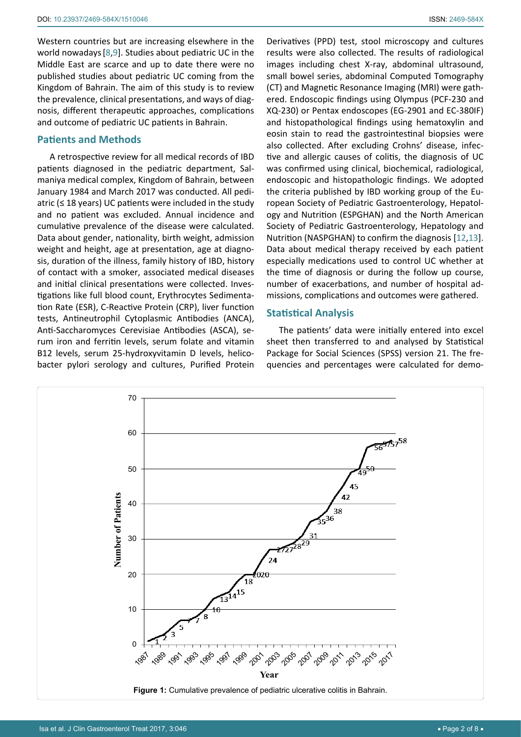Western countries but are increasing elsewhere in the world nowadays[[8](#page-6-4),[9\]](#page-6-6). Studies about pediatric UC in the Middle East are scarce and up to date there were no published studies about pediatric UC coming from the Kingdom of Bahrain. The aim of this study is to review the prevalence, clinical presentations, and ways of diagnosis, different therapeutic approaches, complications and outcome of pediatric UC patients in Bahrain.

# **Patients and Methods**

A retrospective review for all medical records of IBD patients diagnosed in the pediatric department, Salmaniya medical complex, Kingdom of Bahrain, between January 1984 and March 2017 was conducted. All pediatric ( $\leq$  18 years) UC patients were included in the study and no patient was excluded. Annual incidence and cumulative prevalence of the disease were calculated. Data about gender, nationality, birth weight, admission weight and height, age at presentation, age at diagnosis, duration of the illness, family history of IBD, history of contact with a smoker, associated medical diseases and initial clinical presentations were collected. Investigations like full blood count, Erythrocytes Sedimentation Rate (ESR), C-Reactive Protein (CRP), liver function tests, Antineutrophil Cytoplasmic Antibodies (ANCA), Anti-Saccharomyces Cerevisiae Antibodies (ASCA), serum iron and ferritin levels, serum folate and vitamin B12 levels, serum 25-hydroxyvitamin D levels, helicobacter pylori serology and cultures, Purified Protein Derivatives (PPD) test, stool microscopy and cultures results were also collected. The results of radiological images including chest X-ray, abdominal ultrasound, small bowel series, abdominal Computed Tomography (CT) and Magnetic Resonance Imaging (MRI) were gathered. Endoscopic findings using Olympus (PCF-230 and XQ-230) or Pentax endoscopes (EG-2901 and EC-380IF) and histopathological findings using hematoxylin and eosin stain to read the gastrointestinal biopsies were also collected. After excluding Crohns' disease, infective and allergic causes of colitis, the diagnosis of UC was confirmed using clinical, biochemical, radiological, endoscopic and histopathologic findings. We adopted the criteria published by IBD working group of the European Society of Pediatric Gastroenterology, Hepatology and Nutrition (ESPGHAN) and the North American Society of Pediatric Gastroenterology, Hepatology and Nutrition (NASPGHAN) to confirm the diagnosis [[12,](#page-6-10)[13\]](#page-6-11). Data about medical therapy received by each patient especially medications used to control UC whether at the time of diagnosis or during the follow up course, number of exacerbations, and number of hospital admissions, complications and outcomes were gathered.

#### **Statistical Analysis**

The patients' data were initially entered into excel sheet then transferred to and analysed by Statistical Package for Social Sciences (SPSS) version 21. The frequencies and percentages were calculated for demo-

<span id="page-1-0"></span>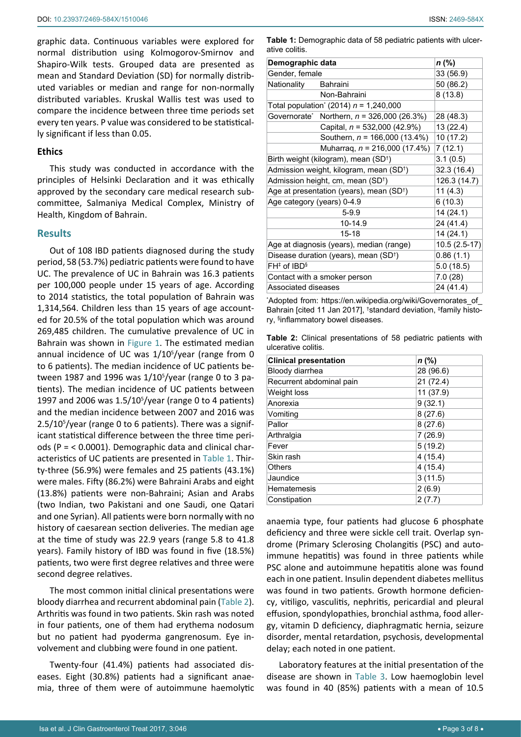graphic data. Continuous variables were explored for normal distribution using Kolmogorov-Smirnov and Shapiro-Wilk tests. Grouped data are presented as mean and Standard Deviation (SD) for normally distributed variables or median and range for non-normally distributed variables. Kruskal Wallis test was used to compare the incidence between three time periods set every ten years. P value was considered to be statistically significant if less than 0.05.

# **Ethics**

This study was conducted in accordance with the principles of Helsinki Declaration and it was ethically approved by the secondary care medical research subcommittee, Salmaniya Medical Complex, Ministry of Health, Kingdom of Bahrain.

## **Results**

Out of 108 IBD patients diagnosed during the study period, 58 (53.7%) pediatric patients were found to have UC. The prevalence of UC in Bahrain was 16.3 patients per 100,000 people under 15 years of age. According to 2014 statistics, the total population of Bahrain was 1,314,564. Children less than 15 years of age accounted for 20.5% of the total population which was around 269,485 children. The cumulative prevalence of UC in Bahrain was shown in [Figure 1.](#page-1-0) The estimated median annual incidence of UC was 1/10<sup>5</sup>/year (range from 0 to 6 patients). The median incidence of UC patients between 1987 and 1996 was 1/10<sup>5</sup>/year (range 0 to 3 patients). The median incidence of UC patients between 1997 and 2006 was  $1.5/10^{5}/y$ ear (range 0 to 4 patients) and the median incidence between 2007 and 2016 was 2.5/10<sup>5</sup>/year (range 0 to 6 patients). There was a significant statistical difference between the three time periods (P = < 0.0001). Demographic data and clinical characteristics of UC patients are presented in [Table 1](#page-2-0). Thirty-three (56.9%) were females and 25 patients (43.1%) were males. Fifty (86.2%) were Bahraini Arabs and eight (13.8%) patients were non-Bahraini; Asian and Arabs (two Indian, two Pakistani and one Saudi, one Qatari and one Syrian). All patients were born normally with no history of caesarean section deliveries. The median age at the time of study was 22.9 years (range 5.8 to 41.8 years). Family history of IBD was found in five (18.5%) patients, two were first degree relatives and three were second degree relatives.

The most common initial clinical presentations were bloody diarrhea and recurrent abdominal pain [\(Table 2](#page-2-1)). Arthritis was found in two patients. Skin rash was noted in four patients, one of them had erythema nodosum but no patient had pyoderma gangrenosum. Eye involvement and clubbing were found in one patient.

Twenty-four (41.4%) patients had associated diseases. Eight (30.8%) patients had a significant anaemia, three of them were of autoimmune haemolytic

<span id="page-2-0"></span>**Table 1:** Demographic data of 58 pediatric patients with ulcerative colitis.

| Demographic data                                     | n (%)                                                    |               |
|------------------------------------------------------|----------------------------------------------------------|---------------|
| Gender, female                                       |                                                          | 33 (56.9)     |
| Nationality                                          | <b>Bahraini</b>                                          | 50 (86.2)     |
|                                                      | Non-Bahraini                                             | 8(13.8)       |
| Total population <sup>*</sup> (2014) $n = 1,240,000$ |                                                          |               |
|                                                      | Governorate <sup>*</sup> Northern, $n = 326,000 (26.3%)$ | 28 (48.3)     |
|                                                      | Capital, $n = 532,000 (42.9%)$                           | 13 (22.4)     |
|                                                      | Southern, $n = 166,000 (13.4%)$                          | 10 (17.2)     |
|                                                      | Muharraq, $n = 216,000 (17.4%)$                          | 7(12.1)       |
| Birth weight (kilogram), mean (SD <sup>†</sup> )     | 3.1(0.5)                                                 |               |
| Admission weight, kilogram, mean (SD <sup>+</sup> )  | 32.3 (16.4)                                              |               |
| Admission height, cm, mean (SD <sup>+</sup> )        | 126.3 (14.7)                                             |               |
| Age at presentation (years), mean (SD <sup>†</sup> ) | 11(4.3)                                                  |               |
| Age category (years) 0-4.9                           | 6(10.3)                                                  |               |
| $5 - 9.9$                                            |                                                          | 14 (24.1)     |
| 10-14.9                                              |                                                          | 24 (41.4)     |
| $15 - 18$                                            |                                                          | 14 (24.1)     |
| Age at diagnosis (years), median (range)             |                                                          | 10.5 (2.5-17) |
| Disease duration (years), mean (SD <sup>+</sup> )    |                                                          | 0.86(1.1)     |
| $FH^{\ddagger}$ of IBD <sup>§</sup>                  |                                                          | 5.0(18.5)     |
| Contact with a smoker person                         |                                                          | 7.0(28)       |
| Associated diseases                                  |                                                          | 24 (41.4)     |

\* Adopted from: [https://en.wikipedia.org/wiki/Governorates\\_of\\_](https://en.wikipedia.org/wiki/Governorates_of_Bahrain) [Bahrain](https://en.wikipedia.org/wiki/Governorates_of_Bahrain) [cited 11 Jan 2017], <sup>†</sup>standard deviation, <sup>‡f</sup>amily history, § inflammatory bowel diseases.

<span id="page-2-1"></span>**Table 2:** Clinical presentations of 58 pediatric patients with ulcerative colitis.

| <b>Clinical presentation</b> | $n$ (%)   |
|------------------------------|-----------|
| Bloody diarrhea              | 28 (96.6) |
| Recurrent abdominal pain     | 21(72.4)  |
| Weight loss                  | 11 (37.9) |
| Anorexia                     | 9(32.1)   |
| Vomiting                     | 8(27.6)   |
| Pallor                       | 8(27.6)   |
| Arthralgia                   | 7(26.9)   |
| Fever                        | 5(19.2)   |
| Skin rash                    | 4(15.4)   |
| Others                       | 4(15.4)   |
| Jaundice                     | 3(11.5)   |
| Hematemesis                  | 2(6.9)    |
| Constipation                 | 2(7.7)    |

anaemia type, four patients had glucose 6 phosphate deficiency and three were sickle cell trait. Overlap syndrome (Primary Sclerosing Cholangitis (PSC) and autoimmune hepatitis) was found in three patients while PSC alone and autoimmune hepatitis alone was found each in one patient. Insulin dependent diabetes mellitus was found in two patients. Growth hormone deficiency, vitiligo, vasculitis, nephritis, pericardial and pleural effusion, spondylopathies, bronchial asthma, food allergy, vitamin D deficiency, diaphragmatic hernia, seizure disorder, mental retardation, psychosis, developmental delay; each noted in one patient.

Laboratory features at the initial presentation of the disease are shown in [Table 3](#page-3-0). Low haemoglobin level was found in 40 (85%) patients with a mean of 10.5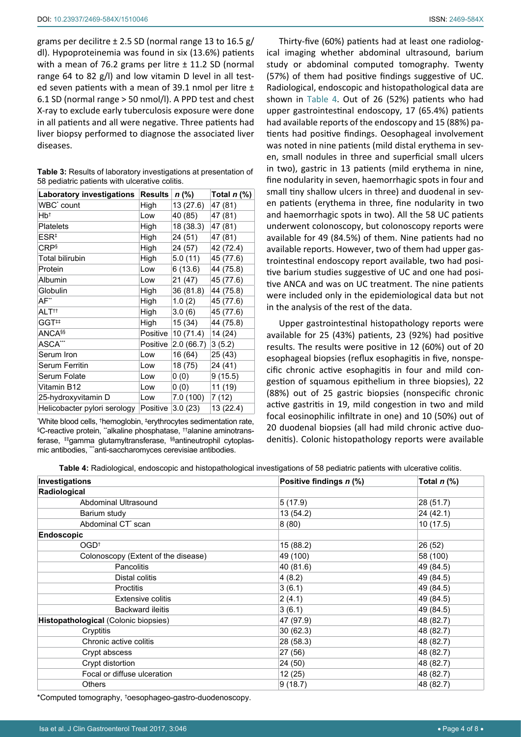grams per decilitre  $\pm$  2.5 SD (normal range 13 to 16.5 g/ dl). Hypoproteinemia was found in six (13.6%) patients with a mean of 76.2 grams per litre  $\pm$  11.2 SD (normal range 64 to 82 g/l) and low vitamin D level in all tested seven patients with a mean of 39.1 nmol per litre  $\pm$ 6.1 SD (normal range > 50 nmol/l). A PPD test and chest X-ray to exclude early tuberculosis exposure were done in all patients and all were negative. Three patients had liver biopsy performed to diagnose the associated liver diseases.

| <b>Laboratory investigations</b> | <b>Results</b> | $n$ (%)   | Total $n$ (%) |
|----------------------------------|----------------|-----------|---------------|
| WBC <sup>*</sup> count           | High           | 13 (27.6) | 47 (81)       |
| Hb†                              | Low            | 40 (85)   | 47 (81)       |
| <b>Platelets</b>                 | High           | 18 (38.3) | 47 (81)       |
| ESR <sup>‡</sup>                 | High           | 24 (51)   | 47 (81)       |
| <b>CRP</b> <sup>§</sup>          | High           | 24 (57)   | 42 (72.4)     |
| Total bilirubin                  | High           | 5.0 (11)  | 45 (77.6)     |
| Protein                          | Low            | 6 (13.6)  | 44 (75.8)     |
| Albumin                          | Low            | 21(47)    | 45 (77.6)     |
| Globulin                         | High           | 36 (81.8) | 44 (75.8)     |
| $AF^*$                           | High           | 1.0(2)    | 45 (77.6)     |
| ALT††                            | High           | 3.0(6)    | 45 (77.6)     |
| GGT#                             | High           | 15 (34)   | 44 (75.8)     |
| <b>ANCASS</b>                    | Positive       | 10 (71.4) | 14 (24)       |
| ASCA***                          | Positive       | 2.0(66.7) | 3(5.2)        |
| Serum Iron                       | Low            | 16 (64)   | 25 (43)       |
| Serum Ferritin                   | Low            | 18 (75)   | 24 (41)       |
| Serum Folate                     | Low            | 0(0)      | 9(15.5)       |
| Vitamin B12                      | Low            | 0(0)      | 11 (19)       |
| 25-hydroxyvitamin D              | Low            | 7.0 (100) | 7(12)         |
| Helicobacter pylori serology     | Positive       | 3.0(23)   | 13 (22.4)     |

<span id="page-3-0"></span>**Table 3:** Results of laboratory investigations at presentation of 58 pediatric patients with ulcerative colitis.

\* White blood cells, † hemoglobin, ‡ erythrocytes sedimentation rate, § C-reactive protein, \*\*alkaline phosphatase, ††alanine aminotransferase, #gamma glutamyltransferase, <sup>§§</sup>antineutrophil cytoplasmic antibodies, ""anti-saccharomyces cerevisiae antibodies.

Thirty-five (60%) patients had at least one radiological imaging whether abdominal ultrasound, barium study or abdominal computed tomography. Twenty (57%) of them had positive findings suggestive of UC. Radiological, endoscopic and histopathological data are shown in [Table 4](#page-3-1). Out of 26 (52%) patients who had upper gastrointestinal endoscopy, 17 (65.4%) patients had available reports of the endoscopy and 15 (88%) patients had positive findings. Oesophageal involvement was noted in nine patients (mild distal erythema in seven, small nodules in three and superficial small ulcers in two), gastric in 13 patients (mild erythema in nine, fine nodularity in seven, haemorrhagic spots in four and small tiny shallow ulcers in three) and duodenal in seven patients (erythema in three, fine nodularity in two and haemorrhagic spots in two). All the 58 UC patients underwent colonoscopy, but colonoscopy reports were available for 49 (84.5%) of them. Nine patients had no available reports. However, two of them had upper gastrointestinal endoscopy report available, two had positive barium studies suggestive of UC and one had positive ANCA and was on UC treatment. The nine patients were included only in the epidemiological data but not in the analysis of the rest of the data.

Upper gastrointestinal histopathology reports were available for 25 (43%) patients, 23 (92%) had positive results. The results were positive in 12 (60%) out of 20 esophageal biopsies (reflux esophagitis in five, nonspecific chronic active esophagitis in four and mild congestion of squamous epithelium in three biopsies), 22 (88%) out of 25 gastric biopsies (nonspecific chronic active gastritis in 19, mild congestion in two and mild focal eosinophilic infiltrate in one) and 10 (50%) out of 20 duodenal biopsies (all had mild chronic active duodenitis). Colonic histopathology reports were available

<span id="page-3-1"></span>**Table 4:** Radiological, endoscopic and histopathological investigations of 58 pediatric patients with ulcerative colitis.

| Investigations                       | Positive findings n (%) | Total $n$ (%) |
|--------------------------------------|-------------------------|---------------|
| Radiological                         |                         |               |
| Abdominal Ultrasound                 | 5(17.9)                 | 28 (51.7)     |
| Barium study                         | 13(54.2)                | 24 (42.1)     |
| Abdominal CT <sup>*</sup> scan       | 8(80)                   | 10(17.5)      |
| <b>Endoscopic</b>                    |                         |               |
| OGD <sup>†</sup>                     | 15 (88.2)               | 26 (52)       |
| Colonoscopy (Extent of the disease)  | 49 (100)                | 58 (100)      |
| <b>Pancolitis</b>                    | 40 (81.6)               | 49 (84.5)     |
| Distal colitis                       | 4(8.2)                  | 49 (84.5)     |
| <b>Proctitis</b>                     | 3(6.1)                  | 49 (84.5)     |
| <b>Extensive colitis</b>             | 2(4.1)                  | 49 (84.5)     |
| <b>Backward ileitis</b>              | 3(6.1)                  | 49 (84.5)     |
| Histopathological (Colonic biopsies) | 47 (97.9)               | 48 (82.7)     |
| Cryptitis                            | 30(62.3)                | 48 (82.7)     |
| Chronic active colitis               | 28 (58.3)               | 48 (82.7)     |
| Crypt abscess                        | 27 (56)                 | 48 (82.7)     |
| Crypt distortion                     | 24 (50)                 | 48 (82.7)     |
| Focal or diffuse ulceration          | 12(25)                  | 48 (82.7)     |
| <b>Others</b>                        | 9(18.7)                 | 48 (82.7)     |

\*Computed tomography, † oesophageo-gastro-duodenoscopy.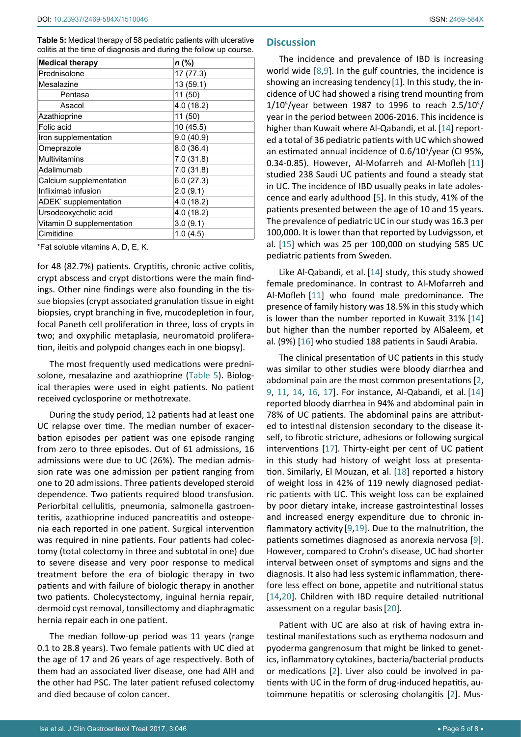<span id="page-4-0"></span>**Table 5:** Medical therapy of 58 pediatric patients with ulcerative colitis at the time of diagnosis and during the follow up course.

| <b>Medical therapy</b>            | $n$ (%)    |
|-----------------------------------|------------|
| Prednisolone                      | 17 (77.3)  |
| Mesalazine                        | 13 (59.1)  |
| Pentasa                           | 11 (50)    |
| Asacol                            | 4.0(18.2)  |
| Azathioprine                      | 11 (50)    |
| Folic acid                        | 10(45.5)   |
| Iron supplementation              | 9.0(40.9)  |
| Omeprazole                        | 8.0(36.4)  |
| Multivitamins                     | 7.0(31.8)  |
| Adalimumab                        | 7.0(31.8)  |
| Calcium supplementation           | 6.0(27.3)  |
| Infliximab infusion               | 2.0(9.1)   |
| ADEK <sup>*</sup> supplementation | 4.0 (18.2) |
| Ursodeoxycholic acid              | 4.0(18.2)  |
| Vitamin D supplementation         | 3.0(9.1)   |
| Cimitidine                        | 1.0(4.5)   |

\*Fat soluble vitamins A, D, E, K.

for 48 (82.7%) patients. Cryptitis, chronic active colitis, crypt abscess and crypt distortions were the main findings. Other nine findings were also founding in the tissue biopsies (crypt associated granulation tissue in eight biopsies, crypt branching in five, mucodepletion in four, focal Paneth cell proliferation in three, loss of crypts in two; and oxyphilic metaplasia, neuromatoid proliferation, ileitis and polypoid changes each in one biopsy).

The most frequently used medications were prednisolone, mesalazine and azathioprine ([Table 5\)](#page-4-0). Biological therapies were used in eight patients. No patient received cyclosporine or methotrexate.

During the study period, 12 patients had at least one UC relapse over time. The median number of exacerbation episodes per patient was one episode ranging from zero to three episodes. Out of 61 admissions, 16 admissions were due to UC (26%). The median admission rate was one admission per patient ranging from one to 20 admissions. Three patients developed steroid dependence. Two patients required blood transfusion. Periorbital cellulitis, pneumonia, salmonella gastroenteritis, azathioprine induced pancreatitis and osteopenia each reported in one patient. Surgical intervention was required in nine patients. Four patients had colectomy (total colectomy in three and subtotal in one) due to severe disease and very poor response to medical treatment before the era of biologic therapy in two patients and with failure of biologic therapy in another two patients. Cholecystectomy, inguinal hernia repair, dermoid cyst removal, tonsillectomy and diaphragmatic hernia repair each in one patient.

The median follow-up period was 11 years (range 0.1 to 28.8 years). Two female patients with UC died at the age of 17 and 26 years of age respectively. Both of them had an associated liver disease, one had AIH and the other had PSC. The later patient refused colectomy and died because of colon cancer.

# **Discussion**

The incidence and prevalence of IBD is increasing world wide [[8](#page-6-4),[9\]](#page-6-6). In the gulf countries, the incidence is showing an increasing tendency [\[1](#page-6-0)]. In this study, the incidence of UC had showed a rising trend mounting from  $1/10^{5}/$ year between 1987 to 1996 to reach 2.5/10<sup>5</sup>/ year in the period between 2006-2016. This incidence is higher than Kuwait where Al-Qabandi, et al. [[14](#page-6-12)] reported a total of 36 pediatric patients with UC which showed an estimated annual incidence of 0.6/10<sup>5</sup>/year (CI 95%, 0.34-0.85). However, Al-Mofarreh and Al-Mofleh [\[11](#page-6-9)] studied 238 Saudi UC patients and found a steady stat in UC. The incidence of IBD usually peaks in late adolescence and early adulthood [[5](#page-6-8)]. In this study, 41% of the patients presented between the age of 10 and 15 years. The prevalence of pediatric UC in our study was 16.3 per 100,000. It is lower than that reported by Ludvigsson, et al. [\[15](#page-6-13)] which was 25 per 100,000 on studying 585 UC pediatric patients from Sweden.

Like Al-Qabandi, et al. [[14](#page-6-12)] study, this study showed female predominance. In contrast to Al-Mofarreh and Al-Mofleh [\[11](#page-6-9)] who found male predominance. The presence of family history was 18.5% in this study which is lower than the number reported in Kuwait 31% [\[14](#page-6-12)] but higher than the number reported by AlSaleem, et al. (9%) [[16\]](#page-6-14) who studied 188 patients in Saudi Arabia.

The clinical presentation of UC patients in this study was similar to other studies were bloody diarrhea and abdominal pain are the most common presentations [[2](#page-6-2), [9](#page-6-6), [11,](#page-6-9) [14](#page-6-12), [16](#page-6-14), [17](#page-6-15)]. For instance, Al-Qabandi, et al. [[14](#page-6-12)] reported bloody diarrhea in 94% and abdominal pain in 78% of UC patients. The abdominal pains are attributed to intestinal distension secondary to the disease itself, to fibrotic stricture, adhesions or following surgical interventions [[17](#page-6-15)]. Thirty-eight per cent of UC patient in this study had history of weight loss at presentation. Similarly, El Mouzan, et al. [[18\]](#page-6-16) reported a history of weight loss in 42% of 119 newly diagnosed pediatric patients with UC. This weight loss can be explained by poor dietary intake, increase gastrointestinal losses and increased energy expenditure due to chronic inflammatory activity [[9](#page-6-6),[19](#page-7-0)]. Due to the malnutrition, the patients sometimes diagnosed as anorexia nervosa [\[9\]](#page-6-6). However, compared to Crohn's disease, UC had shorter interval between onset of symptoms and signs and the diagnosis. It also had less systemic inflammation, therefore less effect on bone, appetite and nutritional status [[14](#page-6-12)[,20](#page-7-1)]. Children with IBD require detailed nutritional assessment on a regular basis[\[20](#page-7-1)].

Patient with UC are also at risk of having extra intestinal manifestations such as erythema nodosum and pyoderma gangrenosum that might be linked to genetics, inflammatory cytokines, bacteria/bacterial products or medications [[2](#page-6-2)]. Liver also could be involved in patients with UC in the form of drug-induced hepatitis, autoimmune hepatitis or sclerosing cholangitis [[2](#page-6-2)]. Mus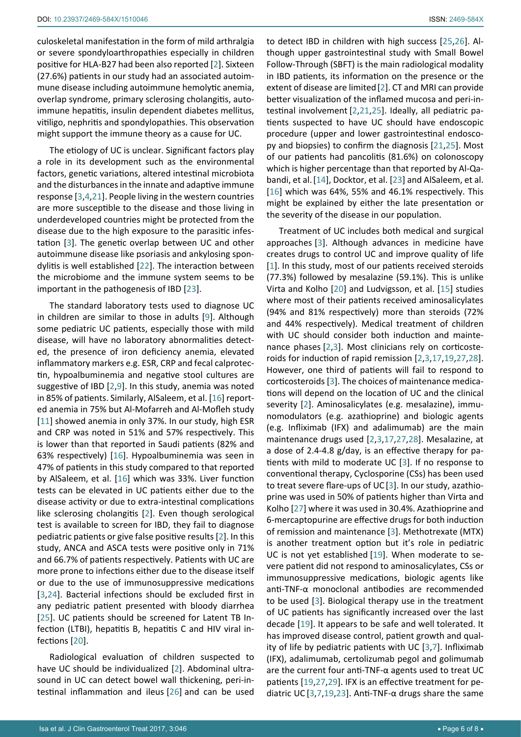culoskeletal manifestation in the form of mild arthralgia or severe spondyloarthropathies especially in children positive for HLA-B27 had been also reported [[2](#page-6-2)]. Sixteen (27.6%) patients in our study had an associated autoimmune disease including autoimmune hemolytic anemia, overlap syndrome, primary sclerosing cholangitis, autoimmune hepatitis, insulin dependent diabetes mellitus, vitiligo, nephritis and spondylopathies. This observation might support the immune theory as a cause for UC.

The etiology of UC is unclear. Significant factors play a role in its development such as the environmental factors, genetic variations, altered intestinal microbiota and the disturbances in the innate and adaptive immune response [[3](#page-6-17),[4](#page-6-3)[,21](#page-7-4)]. People living in the western countries are more susceptible to the disease and those living in underdeveloped countries might be protected from the disease due to the high exposure to the parasitic infestation [\[3\]](#page-6-17). The genetic overlap between UC and other autoimmune disease like psoriasis and ankylosing spondylitis is well established [[22](#page-7-9)]. The interaction between the microbiome and the immune system seems to be important in the pathogenesis of IBD [\[23](#page-7-5)].

The standard laboratory tests used to diagnose UC in children are similar to those in adults [\[9\]](#page-6-6). Although some pediatric UC patients, especially those with mild disease, will have no laboratory abnormalities detected, the presence of iron deficiency anemia, elevated inflammatory markers e.g. ESR, CRP and fecal calprotectin, hypoalbuminemia and negative stool cultures are suggestive of IBD [[2,](#page-6-2)[9](#page-6-6)]. In this study, anemia was noted in 85% of patients. Similarly, AlSaleem, et al. [\[16](#page-6-14)] reported anemia in 75% but Al-Mofarreh and Al-Mofleh study [[11](#page-6-9)] showed anemia in only 37%. In our study, high ESR and CRP was noted in 51% and 57% respectively. This is lower than that reported in Saudi patients (82% and 63% respectively) [\[16\]](#page-6-14). Hypoalbuminemia was seen in 47% of patients in this study compared to that reported by AlSaleem, et al. [\[16](#page-6-14)] which was 33%. Liver function tests can be elevated in UC patients either due to the disease activity or due to extra-intestinal complications like sclerosing cholangitis [[2](#page-6-2)]. Even though serological test is available to screen for IBD, they fail to diagnose pediatric patients or give false positive results [[2](#page-6-2)]. In this study, ANCA and ASCA tests were positive only in 71% and 66.7% of patients respectively. Patients with UC are more prone to infections either due to the disease itself or due to the use of immunosuppressive medications [[3](#page-6-17),[24](#page-7-10)]. Bacterial infections should be excluded first in any pediatric patient presented with bloody diarrhea [[25](#page-7-2)]. UC patients should be screened for Latent TB Infection (LTBI), hepatitis B, hepatitis C and HIV viral infections [[20](#page-7-1)].

Radiological evaluation of children suspected to have UC should be individualized [[2](#page-6-2)]. Abdominal ultrasound in UC can detect bowel wall thickening, peri-intestinal inflammation and ileus [[26](#page-7-3)] and can be used to detect IBD in children with high success [[25](#page-7-2),[26\]](#page-7-3). Although upper gastrointestinal study with Small Bowel Follow-Through (SBFT) is the main radiological modality in IBD patients, its information on the presence or the extent of disease are limited[[2](#page-6-2)]. CT and MRI can provide better visualization of the inflamed mucosa and peri-intestinal involvement [[2](#page-6-2),[21](#page-7-4),[25](#page-7-2)]. Ideally, all pediatric patients suspected to have UC should have endoscopic procedure (upper and lower gastrointestinal endoscopy and biopsies) to confirm the diagnosis [[21,](#page-7-4)[25\]](#page-7-2). Most of our patients had pancolitis (81.6%) on colonoscopy which is higher percentage than that reported by Al-Qabandi, et al.[[14](#page-6-12)], Docktor, et al. [[23\]](#page-7-5) and AlSaleem, et al. [[16](#page-6-14)] which was 64%, 55% and 46.1% respectively. This might be explained by either the late presentation or the severity of the disease in our population.

Treatment of UC includes both medical and surgical approaches [[3\]](#page-6-17). Although advances in medicine have creates drugs to control UC and improve quality of life [\[1](#page-6-0)]. In this study, most of our patients received steroids (77.3%) followed by mesalazine (59.1%). This is unlike Virta and Kolho [[20](#page-7-1)] and Ludvigsson, et al. [\[15](#page-6-13)] studies where most of their patients received aminosalicylates (94% and 81% respectively) more than steroids (72% and 44% respectively). Medical treatment of children with UC should consider both induction and maintenance phases [\[2](#page-6-2),[3](#page-6-17)]. Most clinicians rely on corticosteroids for induction of rapid remission [[2,](#page-6-2)[3](#page-6-17),[17,](#page-6-15)[19](#page-7-0),[27,](#page-7-6)[28\]](#page-7-7). However, one third of patients will fail to respond to corticosteroids [[3](#page-6-17)]. The choices of maintenance medications will depend on the location of UC and the clinical severity [[2](#page-6-2)]. Aminosalicylates (e.g. mesalazine), immunomodulators (e.g. azathioprine) and biologic agents (e.g. Infliximab (IFX) and adalimumab) are the main maintenance drugs used [[2](#page-6-2),[3](#page-6-17)[,17](#page-6-15)[,27](#page-7-6),[28](#page-7-7)]. Mesalazine, at a dose of 2.4-4.8 g/day, is an effective therapy for patients with mild to moderate UC [[3](#page-6-17)]. If no response to conventional therapy, Cyclosporine (CSs) has been used to treat severe flare-ups of UC[[3\]](#page-6-17). In our study, azathioprine was used in 50% of patients higher than Virta and Kolho [[27](#page-7-6)] where it was used in 30.4%. Azathioprine and 6-mercaptopurine are effective drugs for both induction of remission and maintenance [\[3\]](#page-6-17). Methotrexate (MTX) is another treatment option but it's role in pediatric UC is not yet established [[19](#page-7-0)]. When moderate to severe patient did not respond to aminosalicylates, CSs or immunosuppressive medications, biologic agents like anti-TNF-α monoclonal antibodies are recommended to be used [[3](#page-6-17)]. Biological therapy use in the treatment of UC patients has significantly increased over the last decade [[19](#page-7-0)]. It appears to be safe and well tolerated. It has improved disease control, patient growth and quality of life by pediatric patients with UC [[3](#page-6-17)[,7](#page-6-5)]. Infliximab (IFX), adalimumab, certolizumab pegol and golimumab are the current four anti-TNF-α agents used to treat UC patients [[19](#page-7-0),[27](#page-7-6),[29\]](#page-7-8). IFX is an effective treatment for pediatric UC [[3](#page-6-17)[,7,](#page-6-5)[19](#page-7-0),[23](#page-7-5)]. Anti-TNF-α drugs share the same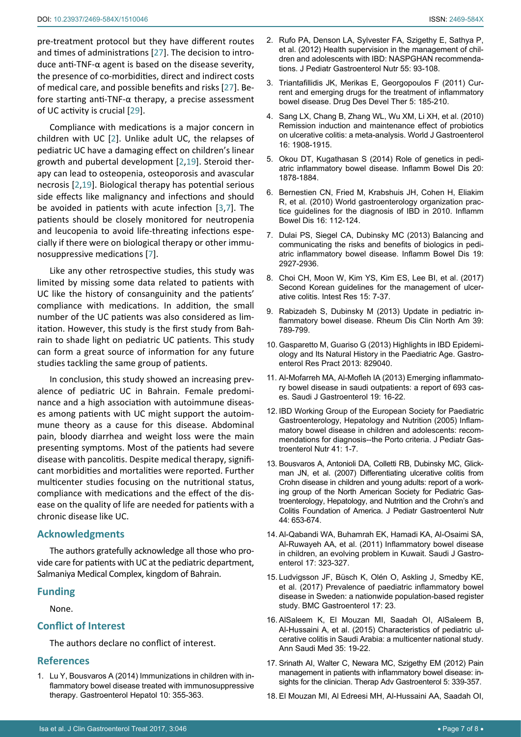pre-treatment protocol but they have different routes and times of administrations [[27](#page-7-6)]. The decision to introduce anti-TNF-α agent is based on the disease severity, the presence of co-morbidities, direct and indirect costs of medical care, and possible benefits and risks [[27](#page-7-6)]. Before starting anti-TNF-α therapy, a precise assessment of UC activity is crucial [[29\]](#page-7-8).

Compliance with medications is a major concern in children with UC [[2](#page-6-2)]. Unlike adult UC, the relapses of pediatric UC have a damaging effect on children's linear growth and pubertal development [[2](#page-6-2),[19](#page-7-0)]. Steroid therapy can lead to osteopenia, osteoporosis and avascular necrosis [[2,](#page-6-2)[19\]](#page-7-0). Biological therapy has potential serious side effects like malignancy and infections and should be avoided in patients with acute infection [[3](#page-6-17)[,7](#page-6-5)]. The patients should be closely monitored for neutropenia and leucopenia to avoid life-threating infections especially if there were on biological therapy or other immunosuppressive medications [[7](#page-6-5)].

Like any other retrospective studies, this study was limited by missing some data related to patients with UC like the history of consanguinity and the patients' compliance with medications. In addition, the small number of the UC patients was also considered as limitation. However, this study is the first study from Bahrain to shade light on pediatric UC patients. This study can form a great source of information for any future studies tackling the same group of patients.

In conclusion, this study showed an increasing prevalence of pediatric UC in Bahrain. Female predominance and a high association with autoimmune diseases among patients with UC might support the autoimmune theory as a cause for this disease. Abdominal pain, bloody diarrhea and weight loss were the main presenting symptoms. Most of the patients had severe disease with pancolitis. Despite medical therapy, significant morbidities and mortalities were reported. Further multicenter studies focusing on the nutritional status, compliance with medications and the effect of the disease on the quality of life are needed for patients with a chronic disease like UC.

# **Acknowledgments**

The authors gratefully acknowledge all those who provide care for patients with UC at the pediatric department, Salmaniya Medical Complex, kingdom of Bahrain.

# **Funding**

None.

# **Conflict of Interest**

The authors declare no conflict of interest.

## **References**

<span id="page-6-0"></span>1. [Lu Y, Bousvaros A \(2014\) Immunizations in children with in](https://www.ncbi.nlm.nih.gov/pmc/articles/PMC4080872/)[flammatory bowel disease treated with immunosuppressive](https://www.ncbi.nlm.nih.gov/pmc/articles/PMC4080872/)  [therapy. Gastroenterol Hepatol 10: 355-363.](https://www.ncbi.nlm.nih.gov/pmc/articles/PMC4080872/)

- <span id="page-6-2"></span>2. [Rufo PA, Denson LA, Sylvester FA, Szigethy E, Sathya P,](https://www.ncbi.nlm.nih.gov/pubmed/22516861)  [et al. \(2012\) Health supervision in the management of chil](https://www.ncbi.nlm.nih.gov/pubmed/22516861)[dren and adolescents with IBD: NASPGHAN recommenda](https://www.ncbi.nlm.nih.gov/pubmed/22516861)[tions. J Pediatr Gastroenterol Nutr 55: 93-108.](https://www.ncbi.nlm.nih.gov/pubmed/22516861)
- <span id="page-6-17"></span>3. [Triantafillidis JK, Merikas E, Georgopoulos F \(2011\) Cur](https://www.ncbi.nlm.nih.gov/pubmed/21552489)[rent and emerging drugs for the treatment of inflammatory](https://www.ncbi.nlm.nih.gov/pubmed/21552489)  [bowel disease. Drug Des Devel Ther 5: 185-210.](https://www.ncbi.nlm.nih.gov/pubmed/21552489)
- <span id="page-6-3"></span>4. [Sang LX, Chang B, Zhang WL, Wu XM, Li XH, et al](https://www.ncbi.nlm.nih.gov/pubmed/20397271). (2010) [Remission induction and maintenance effect of probiotics](https://www.ncbi.nlm.nih.gov/pubmed/20397271)  [on ulcerative colitis: a meta-analysis. World J Gastroenterol](https://www.ncbi.nlm.nih.gov/pubmed/20397271)  [16: 1908-1915.](https://www.ncbi.nlm.nih.gov/pubmed/20397271)
- <span id="page-6-8"></span>5. [Okou DT, Kugathasan S \(2014\) Role of genetics in pedi](https://www.ncbi.nlm.nih.gov/pubmed/25118609)[atric inflammatory bowel disease. Inflamm Bowel Dis 20:](https://www.ncbi.nlm.nih.gov/pubmed/25118609)  [1878-1884.](https://www.ncbi.nlm.nih.gov/pubmed/25118609)
- <span id="page-6-1"></span>6. [Bernestien CN, Fried M, Krabshuis JH, Cohen H, Eliakim](https://www.ncbi.nlm.nih.gov/pubmed/19653289)  [R, et al. \(2010\) World gastroenterology organization prac](https://www.ncbi.nlm.nih.gov/pubmed/19653289)[tice guidelines for the diagnosis of IBD in 2010. Inflamm](https://www.ncbi.nlm.nih.gov/pubmed/19653289)  [Bowel Dis 16: 112-124.](https://www.ncbi.nlm.nih.gov/pubmed/19653289)
- <span id="page-6-5"></span>7. [Dulai PS, Siegel CA, Dubinsky MC \(2013\) Balancing and](https://www.ncbi.nlm.nih.gov/pubmed/19653289)  [communicating the risks and benefits of biologics in pedi](https://www.ncbi.nlm.nih.gov/pubmed/19653289)[atric inflammatory bowel disease. Inflamm Bowel Dis 19:](https://www.ncbi.nlm.nih.gov/pubmed/19653289)  [2927-2936.](https://www.ncbi.nlm.nih.gov/pubmed/19653289)
- <span id="page-6-4"></span>8. [Choi CH, Moon W, Kim YS, Kim ES, Lee BI, et al. \(2017\)](https://www.ncbi.nlm.nih.gov/pubmed/28239313)  [Second Korean guidelines for the management of ulcer](https://www.ncbi.nlm.nih.gov/pubmed/28239313)[ative colitis. Intest Res 15: 7-37.](https://www.ncbi.nlm.nih.gov/pubmed/28239313)
- <span id="page-6-6"></span>9. [Rabizadeh S, Dubinsky M \(2013\) Update in pediatric in](https://www.ncbi.nlm.nih.gov/pubmed/24182855)[flammatory bowel disease. Rheum Dis Clin North Am 39:](https://www.ncbi.nlm.nih.gov/pubmed/24182855)  [789-799.](https://www.ncbi.nlm.nih.gov/pubmed/24182855)
- <span id="page-6-7"></span>10. [Gasparetto M, Guariso G \(2013\) Highlights in IBD Epidemi](https://www.ncbi.nlm.nih.gov/pubmed/24454343)[ology and Its Natural History in the Paediatric Age. Gastro](https://www.ncbi.nlm.nih.gov/pubmed/24454343)[enterol Res Pract 2013: 829040.](https://www.ncbi.nlm.nih.gov/pubmed/24454343)
- <span id="page-6-9"></span>11. [Al-Mofarreh MA, Al-Mofleh IA \(2013\) Emerging inflammato](https://www.ncbi.nlm.nih.gov/pubmed/23319033)[ry bowel disease in saudi outpatients: a report of 693 cas](https://www.ncbi.nlm.nih.gov/pubmed/23319033)[es. Saudi J Gastroenterol 19: 16-22.](https://www.ncbi.nlm.nih.gov/pubmed/23319033)
- <span id="page-6-10"></span>12. [IBD Working Group of the European Society for Paediatric](https://www.ncbi.nlm.nih.gov/pubmed/15990620)  [Gastroenterology, Hepatology and Nutrition \(2005\) Inflam](https://www.ncbi.nlm.nih.gov/pubmed/15990620)[matory bowel disease in children and adolescents: recom](https://www.ncbi.nlm.nih.gov/pubmed/15990620)[mendations for diagnosis--the Porto criteria. J Pediatr Gas](https://www.ncbi.nlm.nih.gov/pubmed/15990620)[troenterol Nutr 41: 1-7.](https://www.ncbi.nlm.nih.gov/pubmed/15990620)
- <span id="page-6-11"></span>13. [Bousvaros A, Antonioli DA, Colletti RB, Dubinsky MC, Glick](https://www.ncbi.nlm.nih.gov/pubmed/17460505)[man JN, et al. \(2007\) Differentiating ulcerative colitis from](https://www.ncbi.nlm.nih.gov/pubmed/17460505)  [Crohn disease in children and young adults: report of a work](https://www.ncbi.nlm.nih.gov/pubmed/17460505)[ing group of the North American Society for Pediatric Gas](https://www.ncbi.nlm.nih.gov/pubmed/17460505)[troenterology, Hepatology, and Nutrition and the Crohn's and](https://www.ncbi.nlm.nih.gov/pubmed/17460505)  [Colitis Foundation of America. J Pediatr Gastroenterol Nutr](https://www.ncbi.nlm.nih.gov/pubmed/17460505)  [44: 653-674.](https://www.ncbi.nlm.nih.gov/pubmed/17460505)
- <span id="page-6-12"></span>14. [Al-Qabandi WA, Buhamrah EK, Hamadi KA, Al-Osaimi SA,](https://www.ncbi.nlm.nih.gov/pubmed/21912059)  [Al-Ruwayeh AA, et al. \(2011\) Inflammatory bowel disease](https://www.ncbi.nlm.nih.gov/pubmed/21912059)  [in children, an evolving problem in Kuwait. Saudi J Gastro](https://www.ncbi.nlm.nih.gov/pubmed/21912059)[enterol 17: 323-327.](https://www.ncbi.nlm.nih.gov/pubmed/21912059)
- <span id="page-6-13"></span>15. [Ludvigsson JF, Büsch K, Olén O, Askling J, Smedby KE,](https://www.ncbi.nlm.nih.gov/pubmed/28143594)  [et al. \(2017\) Prevalence of paediatric inflammatory bowel](https://www.ncbi.nlm.nih.gov/pubmed/28143594)  [disease in Sweden: a nationwide population-based register](https://www.ncbi.nlm.nih.gov/pubmed/28143594)  [study. BMC Gastroenterol 17: 23.](https://www.ncbi.nlm.nih.gov/pubmed/28143594)
- <span id="page-6-14"></span>16. [AlSaleem K, El Mouzan MI, Saadah OI, AlSaleem B,](https://www.ncbi.nlm.nih.gov/pubmed/26142933)  [Al-Hussaini A, et al. \(2015\) Characteristics of pediatric ul](https://www.ncbi.nlm.nih.gov/pubmed/26142933)[cerative colitis in Saudi Arabia: a multicenter national study.](https://www.ncbi.nlm.nih.gov/pubmed/26142933)  [Ann Saudi Med 35: 19-22.](https://www.ncbi.nlm.nih.gov/pubmed/26142933)
- <span id="page-6-15"></span>17. [Srinath AI, Walter C, Newara MC, Szigethy EM \(2012\) Pain](https://www.ncbi.nlm.nih.gov/pubmed/26142933)  [management in patients with inflammatory bowel disease: in](https://www.ncbi.nlm.nih.gov/pubmed/26142933)[sights for the clinician. Therap Adv Gastroenterol 5: 339-357](https://www.ncbi.nlm.nih.gov/pubmed/26142933).
- <span id="page-6-16"></span>18. [El Mouzan MI, Al Edreesi MH, Al-Hussaini AA, Saadah OI,](https://www.ncbi.nlm.nih.gov/pubmed/26855544)